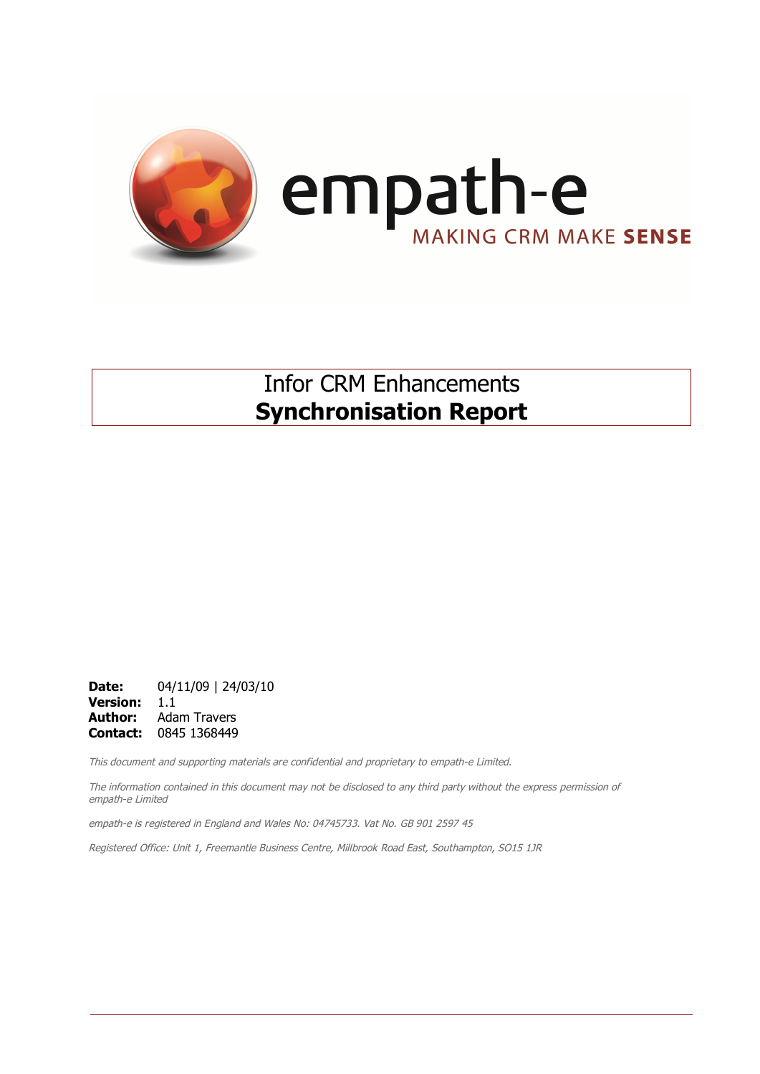

## Infor CRM Enhancements **Synchronisation Report**

**Date:** 04/11/09 | 24/03/10 **Version:** 1.1 **Author:** Adam Travers **Contact:** 0845 1368449

This document and supporting materials are confidential and proprietary to empath-e Limited.

The information contained in this document may not be disclosed to any third party without the express permission of empath-e Limited

empath-e is registered in England and Wales No: 04745733. Vat No. GB 901 2597 45

Registered Office: Unit 1, Freemantle Business Centre, Millbrook Road East, Southampton, SO15 1JR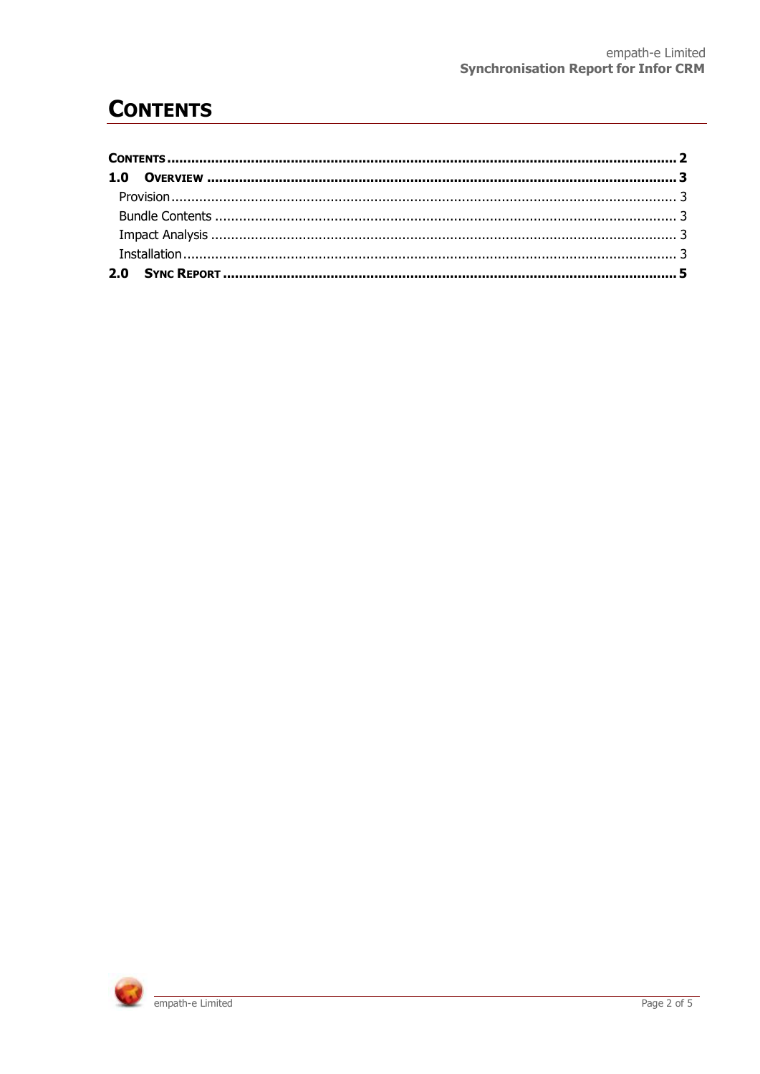# **CONTENTS**

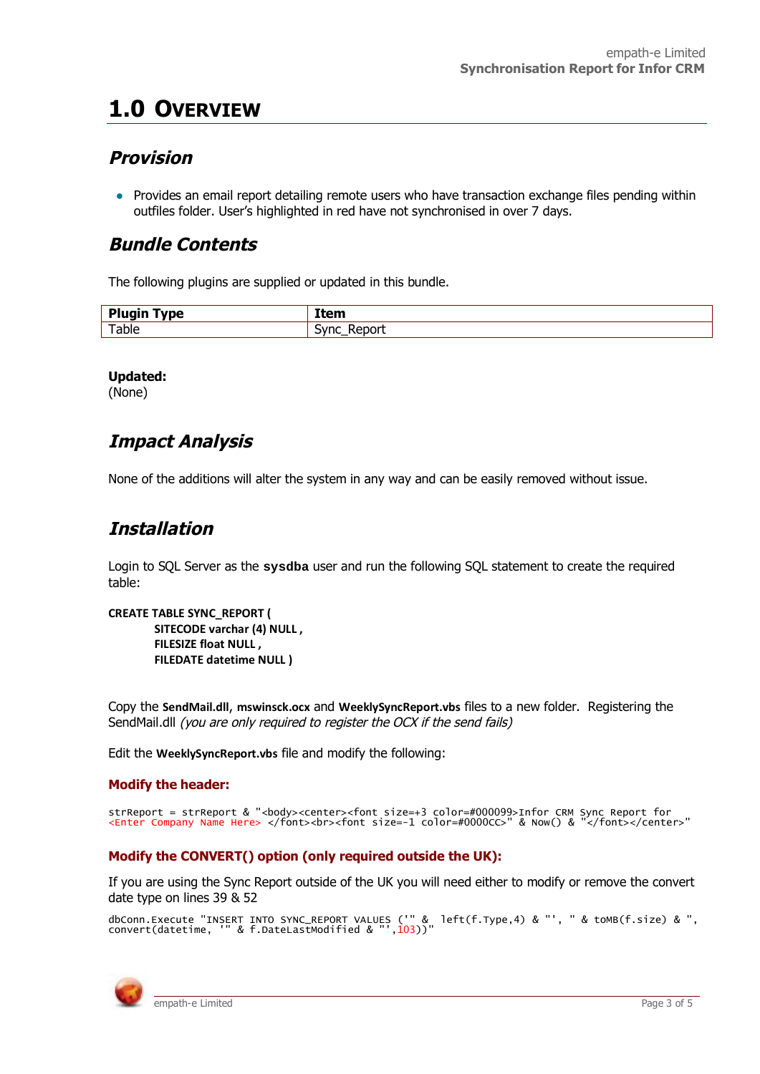# **1.0 OVERVIEW**

## **Provision**

• Provides an email report detailing remote users who have transaction exchange files pending within outfiles folder. User's highlighted in red have not synchronised in over 7 days.

### **Bundle Contents**

The following plugins are supplied or updated in this bundle.

| <b>Plugin</b> |                |
|---------------|----------------|
| <b>vpe</b>    | ltem           |
| Table         | Renort<br>Sync |

**Updated:**

(None)

## **Impact Analysis**

None of the additions will alter the system in any way and can be easily removed without issue.

## **Installation**

Login to SQL Server as the **sysdba** user and run the following SQL statement to create the required table:

```
CREATE TABLE SYNC_REPORT (
SITECODE varchar (4) NULL ,
FILESIZE float NULL ,
FILEDATE datetime NULL )
```
Copy the **SendMail.dll**, **mswinsck.ocx** and **WeeklySyncReport.vbs** files to a new folder. Registering the SendMail.dll (you are only required to register the OCX if the send fails)

Edit the **WeeklySyncReport.vbs** file and modify the following:

### **Modify the header:**

```
strReport = strReport & "<body><center><font size=+3 color=#000099>Infor CRM Sync Report for<br><Enter Company Name Here> </font><br><font size=-1 color=#0000CC>" & Now() & "</font></center>"
```
### **Modify the CONVERT() option (only required outside the UK):**

If you are using the Sync Report outside of the UK you will need either to modify or remove the convert date type on lines 39 & 52

```
dbConn.Execute "INSERT INTO SYNC_REPORT VALUES ('" &  left(f.Type,4) & "', " & toMB(f.size) & ",<br>convert(datetime, '" & f.DateLastModified & "',103))"
```
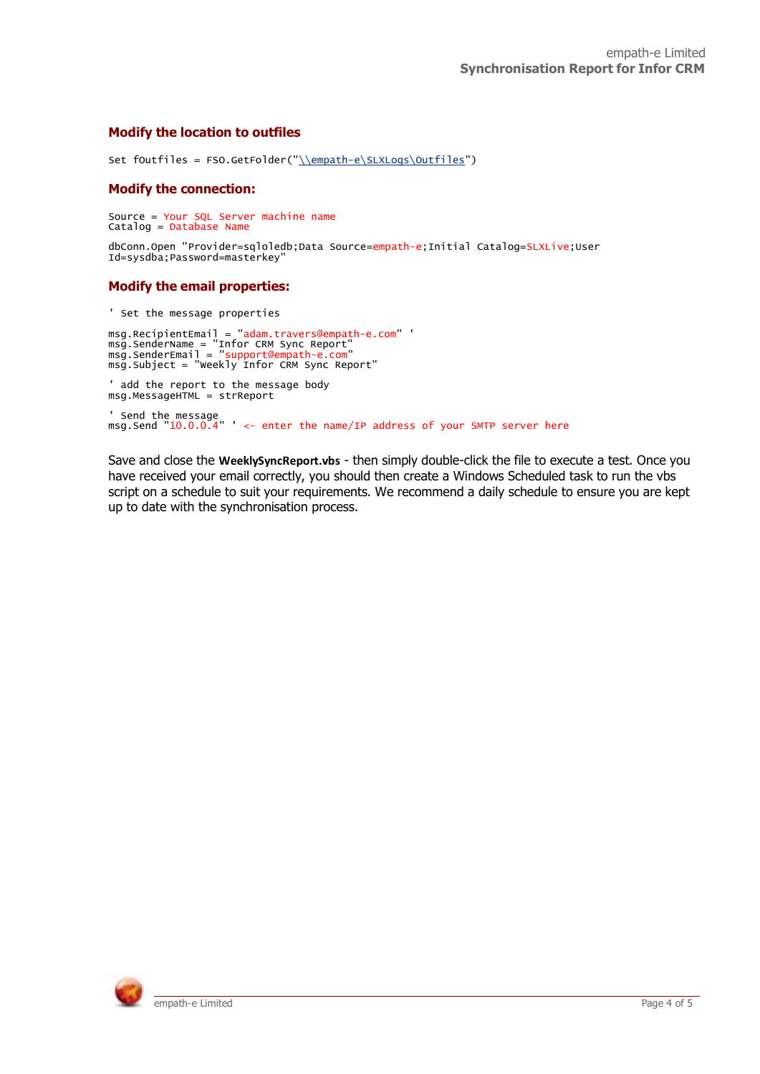### **Modify the location to outfiles**

Set fOutfiles = FSO.GetFolder("\\empath-e\SLXLogs\Outfiles")

#### **Modify the connection:**

Source = Your SQL Server machine name Catalog = Database Name

dbConn.Open "Provider=sqloledb;Data Source=empath-e;Initial Catalog=SLXLive;User Id=sysdba;Password=masterkey"

### **Modify the email properties:**

' Set the message properties

msg.RecipientEmail = "adam.travers@empath-e.com" '<br>msg.SenderName = "Infor CRM Sync Report"<br>msg.SenderEmail = "support@empath-e.com" msg.Subject = "Weekly Infor CRM Sync Report" ' add the report to the message body msg.MessageHTML = strReport ' Send the message msg.Send "10.0.0.4" ' <- enter the name/IP address of your SMTP server here

Save and close the **WeeklySyncReport.vbs** - then simply double-click the file to execute a test. Once you have received your email correctly, you should then create a Windows Scheduled task to run the vbs script on a schedule to suit your requirements. We recommend a daily schedule to ensure you are kept up to date with the synchronisation process.